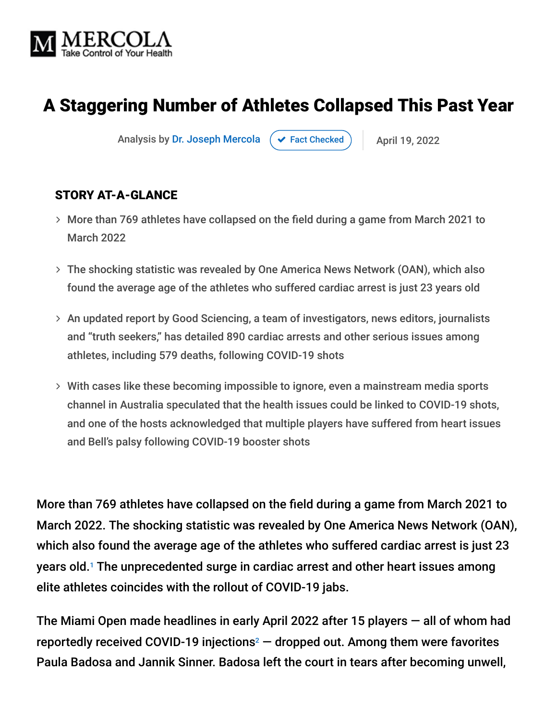

# A Staggering Number of Athletes Collapsed This Past Year

Analysis by [Dr. Joseph Mercola](https://www.mercola.com/forms/background.htm)  $\left( \right. \times$  [Fact Checked](javascript:void(0))  $\left. \right)$  April 19, 2022

#### STORY AT-A-GLANCE

- More than 769 athletes have collapsed on the field during a game from March 2021 to March 2022
- The shocking statistic was revealed by One America News Network (OAN), which also found the average age of the athletes who suffered cardiac arrest is just 23 years old
- An updated report by Good Sciencing, a team of investigators, news editors, journalists and "truth seekers," has detailed 890 cardiac arrests and other serious issues among athletes, including 579 deaths, following COVID-19 shots
- With cases like these becoming impossible to ignore, even a mainstream media sports channel in Australia speculated that the health issues could be linked to COVID-19 shots, and one of the hosts acknowledged that multiple players have suffered from heart issues and Bell's palsy following COVID-19 booster shots

More than 769 athletes have collapsed on the field during a game from March 2021 to March 2022. The shocking statistic was revealed by One America News Network (OAN), which also found the average age of the athletes who suffered cardiac arrest is just 23 years old.<sup>1</sup> The unprecedented surge in cardiac arrest and other heart issues among elite athletes coincides with the rollout of COVID-19 jabs.

The Miami Open made headlines in early April 2022 after 15 players — all of whom had reportedly received COVID-19 injections $^2$   $-$  dropped out. Among them were favorites Paula Badosa and Jannik Sinner. Badosa left the court in tears after becoming unwell,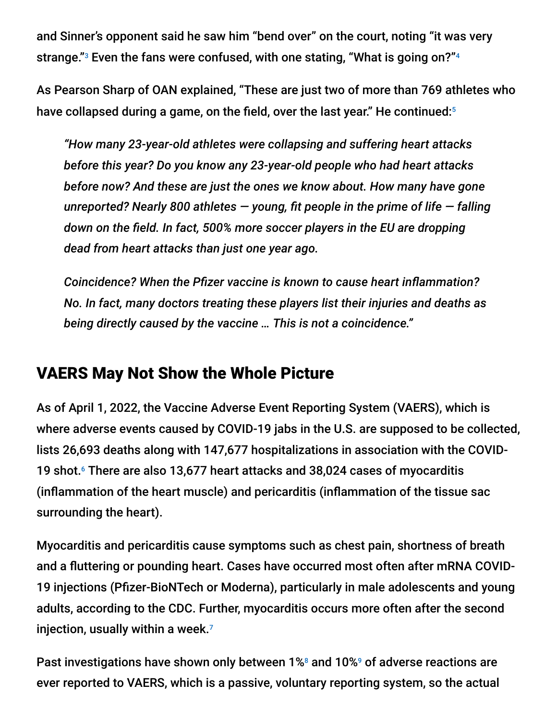and Sinner's opponent said he saw him "bend over" on the court, noting "it was very strange."<sup>3</sup> Even the fans were confused, with one stating, "What is going on?"<sup>4</sup>

As Pearson Sharp of OAN explained, "These are just two of more than 769 athletes who have collapsed during a game, on the field, over the last year." He continued: 5

*"How many 23-year-old athletes were collapsing and suffering heart attacks before this year? Do you know any 23-year-old people who had heart attacks before now? And these are just the ones we know about. How many have gone unreported? Nearly 800 athletes — young, fit people in the prime of life — falling down on the field. In fact, 500% more soccer players in the EU are dropping dead from heart attacks than just one year ago.*

*Coincidence? When the Pfizer vaccine is known to cause heart inflammation? No. In fact, many doctors treating these players list their injuries and deaths as being directly caused by the vaccine … This is not a coincidence."*

### VAERS May Not Show the Whole Picture

As of April 1, 2022, the Vaccine Adverse Event Reporting System (VAERS), which is where adverse events caused by COVID-19 jabs in the U.S. are supposed to be collected, lists 26,693 deaths along with 147,677 hospitalizations in association with the COVID-19 shot.<sup>6</sup> There are also 13,677 heart attacks and 38,024 cases of myocarditis (inflammation of the heart muscle) and pericarditis (inflammation of the tissue sac surrounding the heart).

Myocarditis and pericarditis cause symptoms such as chest pain, shortness of breath and a fluttering or pounding heart. Cases have occurred most often after mRNA COVID-19 injections (Pfizer-BioNTech or Moderna), particularly in male adolescents and young adults, according to the CDC. Further, myocarditis occurs more often after the second injection, usually within a week. 7

Past investigations have shown only between 1%<sup>8</sup> and 10%<sup>9</sup> of adverse reactions are ever reported to VAERS, which is a passive, voluntary reporting system, so the actual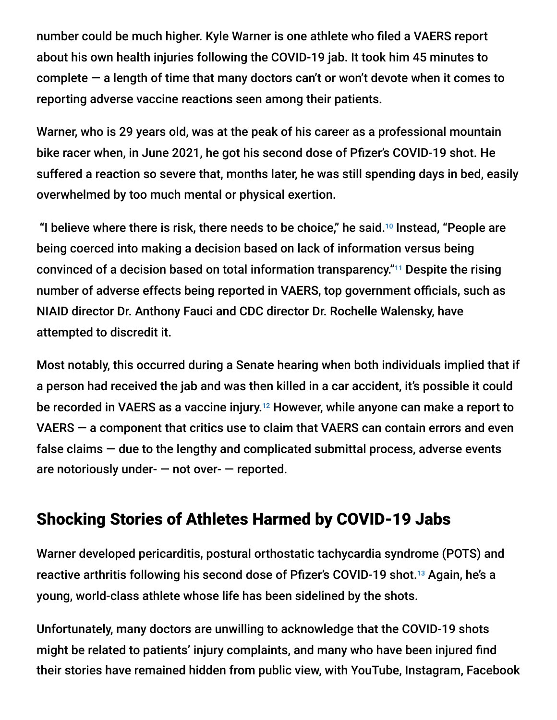number could be much higher. Kyle Warner is one athlete who filed a VAERS report about his own health injuries following the COVID-19 jab. It took him 45 minutes to complete — a length of time that many doctors can't or won't devote when it comes to reporting adverse vaccine reactions seen among their patients.

Warner, who is 29 years old, was at the peak of his career as a professional mountain bike racer when, in June 2021, he got his second dose of Pfizer's COVID-19 shot. He suffered a reaction so severe that, months later, he was still spending days in bed, easily overwhelmed by too much mental or physical exertion.

"I believe where there is risk, there needs to be choice," he said. $10$  Instead, "People are being coerced into making a decision based on lack of information versus being convinced of a decision based on total information transparency."<sup>11</sup> Despite the rising number of adverse effects being reported in VAERS, top government officials, such as NIAID director Dr. Anthony Fauci and CDC director Dr. Rochelle Walensky, have attempted to discredit it.

Most notably, this occurred during a Senate hearing when both individuals implied that if a person had received the jab and was then killed in a car accident, it's possible it could be recorded in VAERS as a vaccine injury.<sup>12</sup> However, while anyone can make a report to VAERS — a component that critics use to claim that VAERS can contain errors and even false claims — due to the lengthy and complicated submittal process, adverse events are notoriously under-  $-$  not over-  $-$  reported.

### Shocking Stories of Athletes Harmed by COVID-19 Jabs

Warner developed pericarditis, postural orthostatic tachycardia syndrome (POTS) and reactive arthritis following his second dose of Pfizer's COVID-19 shot.<sup>13</sup> Again, he's a young, world-class athlete whose life has been sidelined by the shots.

Unfortunately, many doctors are unwilling to acknowledge that the COVID-19 shots might be related to patients' injury complaints, and many who have been injured find their stories have remained hidden from public view, with YouTube, Instagram, Facebook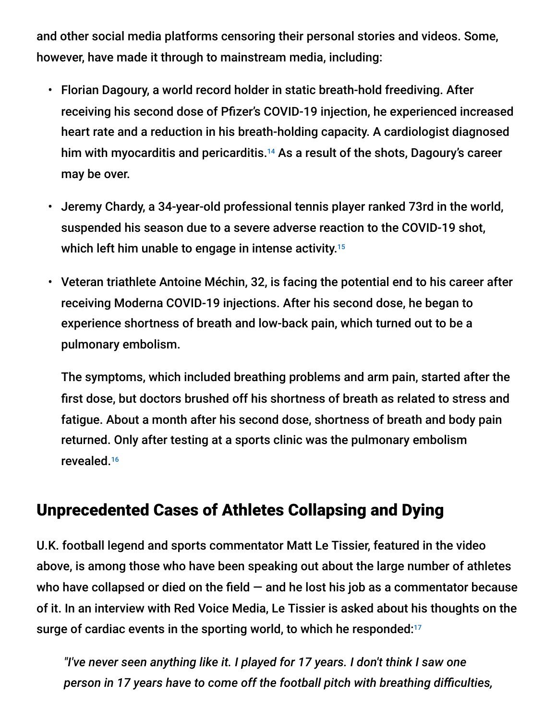and other social media platforms censoring their personal stories and videos. Some, however, have made it through to mainstream media, including:

- Florian Dagoury, a world record holder in static breath-hold freediving. After receiving his second dose of Pfizer's COVID-19 injection, he experienced increased heart rate and a reduction in his breath-holding capacity. A cardiologist diagnosed him with myocarditis and pericarditis. $14$  As a result of the shots, Dagoury's career may be over.
- Jeremy Chardy, a 34-year-old professional tennis player ranked 73rd in the world, suspended his season due to a severe adverse reaction to the COVID-19 shot, which left him unable to engage in intense activity. 15
- Veteran triathlete Antoine Méchin, 32, is facing the potential end to his career after receiving Moderna COVID-19 injections. After his second dose, he began to experience shortness of breath and low-back pain, which turned out to be a pulmonary embolism.

The symptoms, which included breathing problems and arm pain, started after the first dose, but doctors brushed off his shortness of breath as related to stress and fatigue. About a month after his second dose, shortness of breath and body pain returned. Only after testing at a sports clinic was the pulmonary embolism revealed. 16

#### Unprecedented Cases of Athletes Collapsing and Dying

U.K. football legend and sports commentator Matt Le Tissier, featured in the video above, is among those who have been speaking out about the large number of athletes who have collapsed or died on the field  $-$  and he lost his job as a commentator because of it. In an interview with Red Voice Media, Le Tissier is asked about his thoughts on the surge of cardiac events in the sporting world, to which he responded: 17

*"I've never seen anything like it. I played for 17 years. I don't think I saw one person in 17 years have to come off the football pitch with breathing difficulties,*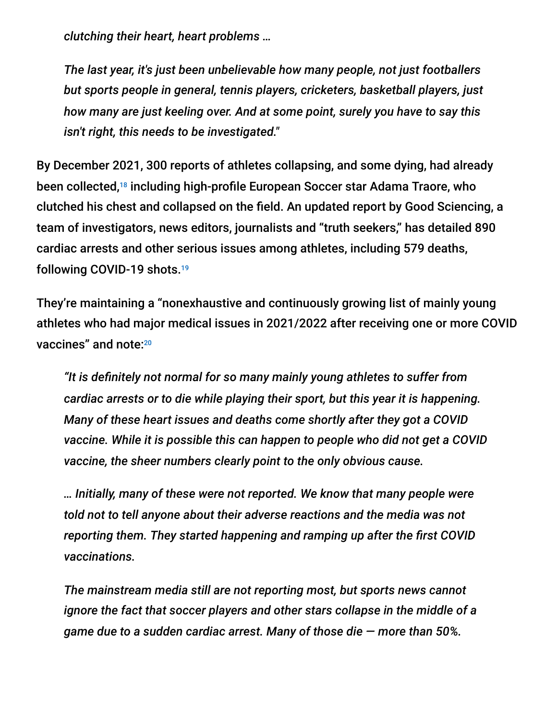*clutching their heart, heart problems …*

*The last year, it's just been unbelievable how many people, not just footballers but sports people in general, tennis players, cricketers, basketball players, just how many are just keeling over. And at some point, surely you have to say this isn't right, this needs to be investigated."*

By December 2021, 300 reports of athletes collapsing, and some dying, had already been collected,<sup>18</sup> including high-profile European Soccer star Adama Traore, who clutched his chest and collapsed on the field. An updated report by Good Sciencing, a team of investigators, news editors, journalists and "truth seekers," has detailed 890 cardiac arrests and other serious issues among athletes, including 579 deaths, following COVID-19 shots. 19

They're maintaining a "nonexhaustive and continuously growing list of mainly young athletes who had major medical issues in 2021/2022 after receiving one or more COVID vaccines" and note: 20

*"It is definitely not normal for so many mainly young athletes to suffer from cardiac arrests or to die while playing their sport, but this year it is happening. Many of these heart issues and deaths come shortly after they got a COVID vaccine. While it is possible this can happen to people who did not get a COVID vaccine, the sheer numbers clearly point to the only obvious cause.*

*… Initially, many of these were not reported. We know that many people were told not to tell anyone about their adverse reactions and the media was not reporting them. They started happening and ramping up after the first COVID vaccinations.*

*The mainstream media still are not reporting most, but sports news cannot ignore the fact that soccer players and other stars collapse in the middle of a game due to a sudden cardiac arrest. Many of those die — more than 50%.*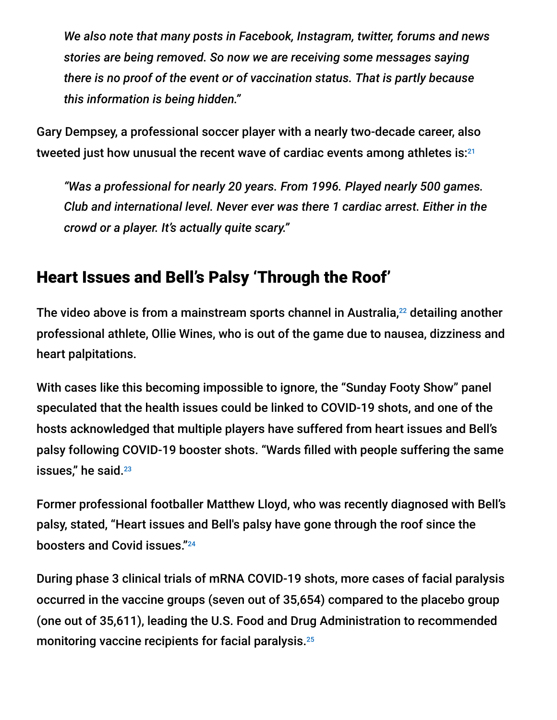*We also note that many posts in Facebook, Instagram, twitter, forums and news stories are being removed. So now we are receiving some messages saying there is no proof of the event or of vaccination status. That is partly because this information is being hidden."*

Gary Dempsey, a professional soccer player with a nearly two-decade career, also tweeted just how unusual the recent wave of cardiac events among athletes is: 21

*"Was a professional for nearly 20 years. From 1996. Played nearly 500 games. Club and international level. Never ever was there 1 cardiac arrest. Either in the crowd or a player. It's actually quite scary."*

## Heart Issues and Bell's Palsy 'Through the Roof'

The video above is from a mainstream sports channel in Australia, $^{22}$  detailing another professional athlete, Ollie Wines, who is out of the game due to nausea, dizziness and heart palpitations.

With cases like this becoming impossible to ignore, the "Sunday Footy Show" panel speculated that the health issues could be linked to COVID-19 shots, and one of the hosts acknowledged that multiple players have suffered from heart issues and Bell's palsy following COVID-19 booster shots. "Wards filled with people suffering the same issues," he said. 23

Former professional footballer Matthew Lloyd, who was recently diagnosed with Bell's palsy, stated, "Heart issues and Bell's palsy have gone through the roof since the boosters and Covid issues." 24

During phase 3 clinical trials of mRNA COVID-19 shots, more cases of facial paralysis occurred in the vaccine groups (seven out of 35,654) compared to the placebo group (one out of 35,611), leading the U.S. Food and Drug Administration to recommended monitoring vaccine recipients for facial paralysis. 25